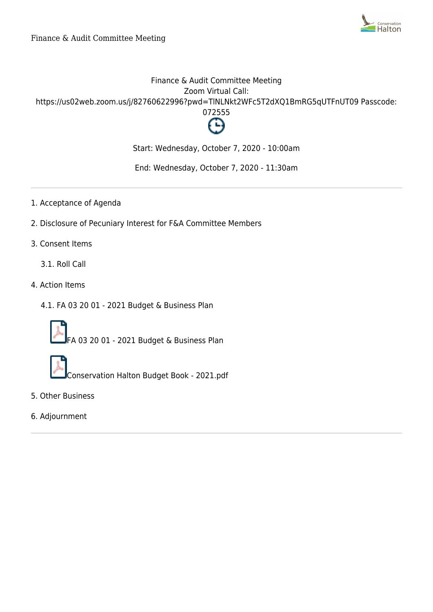

# Finance & Audit Committee Meeting Zoom Virtual Call: https://us02web.zoom.us/j/82760622996?pwd=TlNLNkt2WFc5T2dXQ1BmRG5qUTFnUT09 Passcode: 072555 Ю

Start: Wednesday, October 7, 2020 - 10:00am

End: Wednesday, October 7, 2020 - 11:30am

- 1. Acceptance of Agenda
- 2. Disclosure of Pecuniary Interest for F&A Committee Members
- 3. Consent Items
	- 3.1. Roll Call
- 4. Action Items
	- 4.1. FA 03 20 01 2021 Budget & Business Plan

FA 03 20 01 - 2021 Budget & Business Plan



- 5. Other Business
- 6. Adjournment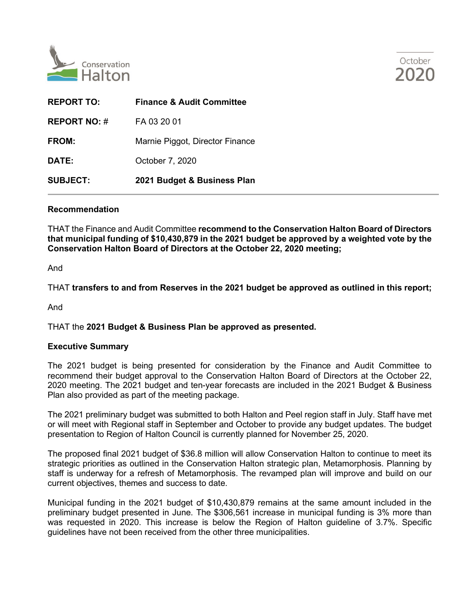



| <b>SUBJECT:</b>     | 2021 Budget & Business Plan          |
|---------------------|--------------------------------------|
| DATE:               | October 7, 2020                      |
| <b>FROM:</b>        | Marnie Piggot, Director Finance      |
| <b>REPORT NO: #</b> | FA 03 20 01                          |
| <b>REPORT TO:</b>   | <b>Finance &amp; Audit Committee</b> |

#### **Recommendation**

THAT the Finance and Audit Committee **recommend to the Conservation Halton Board of Directors that municipal funding of \$10,430,879 in the 2021 budget be approved by a weighted vote by the Conservation Halton Board of Directors at the October 22, 2020 meeting;**

And

THAT **transfers to and from Reserves in the 2021 budget be approved as outlined in this report;**

And

#### THAT the **2021 Budget & Business Plan be approved as presented.**

#### **Executive Summary**

The 2021 budget is being presented for consideration by the Finance and Audit Committee to recommend their budget approval to the Conservation Halton Board of Directors at the October 22, 2020 meeting. The 2021 budget and ten-year forecasts are included in the 2021 Budget & Business Plan also provided as part of the meeting package.

The 2021 preliminary budget was submitted to both Halton and Peel region staff in July. Staff have met or will meet with Regional staff in September and October to provide any budget updates. The budget presentation to Region of Halton Council is currently planned for November 25, 2020.

The proposed final 2021 budget of \$36.8 million will allow Conservation Halton to continue to meet its strategic priorities as outlined in the Conservation Halton strategic plan, Metamorphosis. Planning by staff is underway for a refresh of Metamorphosis. The revamped plan will improve and build on our current objectives, themes and success to date.

Municipal funding in the 2021 budget of \$10,430,879 remains at the same amount included in the preliminary budget presented in June. The \$306,561 increase in municipal funding is 3% more than was requested in 2020. This increase is below the Region of Halton guideline of 3.7%. Specific guidelines have not been received from the other three municipalities.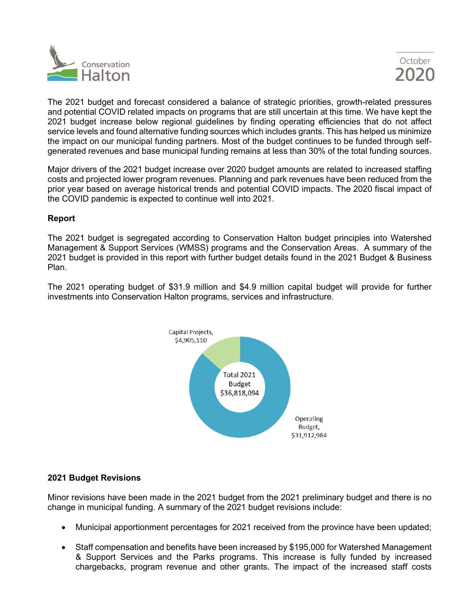



The 2021 budget and forecast considered a balance of strategic priorities, growth-related pressures and potential COVID related impacts on programs that are still uncertain at this time. We have kept the 2021 budget increase below regional guidelines by finding operating efficiencies that do not affect service levels and found alternative funding sources which includes grants. This has helped us minimize the impact on our municipal funding partners. Most of the budget continues to be funded through selfgenerated revenues and base municipal funding remains at less than 30% of the total funding sources.

Major drivers of the 2021 budget increase over 2020 budget amounts are related to increased staffing costs and projected lower program revenues. Planning and park revenues have been reduced from the prior year based on average historical trends and potential COVID impacts. The 2020 fiscal impact of the COVID pandemic is expected to continue well into 2021.

#### **Report**

The 2021 budget is segregated according to Conservation Halton budget principles into Watershed Management & Support Services (WMSS) programs and the Conservation Areas. A summary of the 2021 budget is provided in this report with further budget details found in the 2021 Budget & Business Plan.

The 2021 operating budget of \$31.9 million and \$4.9 million capital budget will provide for further investments into Conservation Halton programs, services and infrastructure.



#### **2021 Budget Revisions**

Minor revisions have been made in the 2021 budget from the 2021 preliminary budget and there is no change in municipal funding. A summary of the 2021 budget revisions include:

- Municipal apportionment percentages for 2021 received from the province have been updated;
- Staff compensation and benefits have been increased by \$195,000 for Watershed Management & Support Services and the Parks programs. This increase is fully funded by increased chargebacks, program revenue and other grants. The impact of the increased staff costs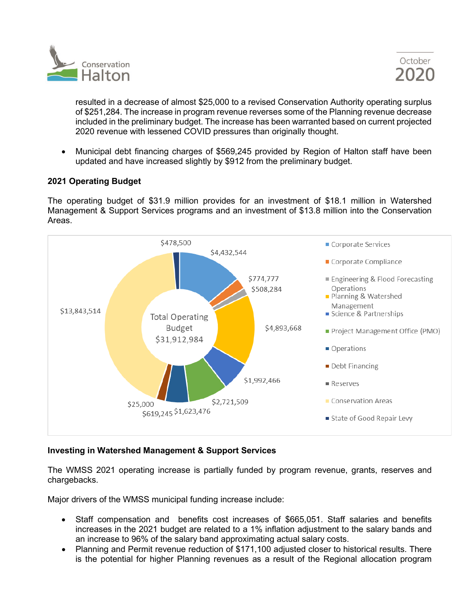



resulted in a decrease of almost \$25,000 to a revised Conservation Authority operating surplus of \$251,284. The increase in program revenue reverses some of the Planning revenue decrease included in the preliminary budget. The increase has been warranted based on current projected 2020 revenue with lessened COVID pressures than originally thought.

• Municipal debt financing charges of \$569,245 provided by Region of Halton staff have been updated and have increased slightly by \$912 from the preliminary budget.

# **2021 Operating Budget**

The operating budget of \$31.9 million provides for an investment of \$18.1 million in Watershed Management & Support Services programs and an investment of \$13.8 million into the Conservation Areas.



#### **Investing in Watershed Management & Support Services**

The WMSS 2021 operating increase is partially funded by program revenue, grants, reserves and chargebacks.

Major drivers of the WMSS municipal funding increase include:

- Staff compensation and benefits cost increases of \$665,051. Staff salaries and benefits increases in the 2021 budget are related to a 1% inflation adjustment to the salary bands and an increase to 96% of the salary band approximating actual salary costs.
- Planning and Permit revenue reduction of \$171,100 adjusted closer to historical results. There is the potential for higher Planning revenues as a result of the Regional allocation program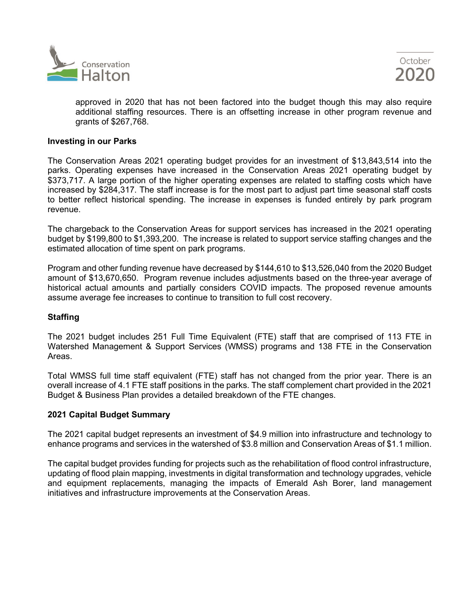



approved in 2020 that has not been factored into the budget though this may also require additional staffing resources. There is an offsetting increase in other program revenue and grants of \$267,768.

#### **Investing in our Parks**

The Conservation Areas 2021 operating budget provides for an investment of \$13,843,514 into the parks. Operating expenses have increased in the Conservation Areas 2021 operating budget by \$373,717. A large portion of the higher operating expenses are related to staffing costs which have increased by \$284,317. The staff increase is for the most part to adjust part time seasonal staff costs to better reflect historical spending. The increase in expenses is funded entirely by park program revenue.

The chargeback to the Conservation Areas for support services has increased in the 2021 operating budget by \$199,800 to \$1,393,200. The increase is related to support service staffing changes and the estimated allocation of time spent on park programs.

Program and other funding revenue have decreased by \$144,610 to \$13,526,040 from the 2020 Budget amount of \$13,670,650. Program revenue includes adjustments based on the three-year average of historical actual amounts and partially considers COVID impacts. The proposed revenue amounts assume average fee increases to continue to transition to full cost recovery.

#### **Staffing**

The 2021 budget includes 251 Full Time Equivalent (FTE) staff that are comprised of 113 FTE in Watershed Management & Support Services (WMSS) programs and 138 FTE in the Conservation Areas.

Total WMSS full time staff equivalent (FTE) staff has not changed from the prior year. There is an overall increase of 4.1 FTE staff positions in the parks. The staff complement chart provided in the 2021 Budget & Business Plan provides a detailed breakdown of the FTE changes.

#### **2021 Capital Budget Summary**

The 2021 capital budget represents an investment of \$4.9 million into infrastructure and technology to enhance programs and services in the watershed of \$3.8 million and Conservation Areas of \$1.1 million.

The capital budget provides funding for projects such as the rehabilitation of flood control infrastructure, updating of flood plain mapping, investments in digital transformation and technology upgrades, vehicle and equipment replacements, managing the impacts of Emerald Ash Borer, land management initiatives and infrastructure improvements at the Conservation Areas.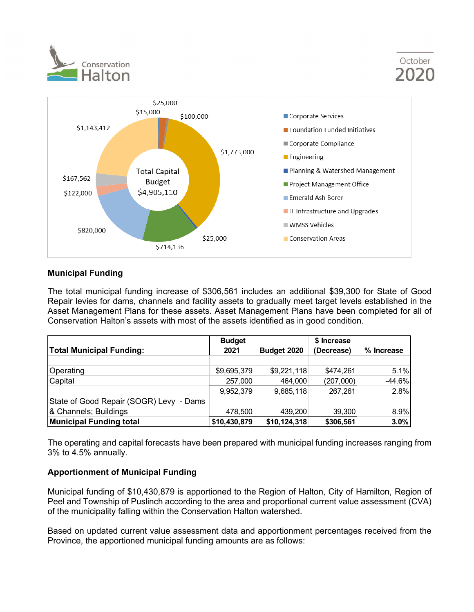



October

2020

# **Municipal Funding**

The total municipal funding increase of \$306,561 includes an additional \$39,300 for State of Good Repair levies for dams, channels and facility assets to gradually meet target levels established in the Asset Management Plans for these assets. Asset Management Plans have been completed for all of Conservation Halton's assets with most of the assets identified as in good condition.

|                                         | <b>Budget</b> |              | \$ Increase |            |
|-----------------------------------------|---------------|--------------|-------------|------------|
| <b>Total Municipal Funding:</b>         | 2021          | Budget 2020  | (Decrease)  | % Increase |
|                                         |               |              |             |            |
| <b>Operating</b>                        | \$9,695,379   | \$9,221,118  | \$474,261   | 5.1%       |
| Capital                                 | 257,000       | 464,000      | (207,000)   | $-44.6%$   |
|                                         | 9,952,379     | 9,685,118    | 267,261     | $2.8\%$    |
| State of Good Repair (SOGR) Levy - Dams |               |              |             |            |
| & Channels; Buildings                   | 478,500       | 439,200      | 39,300      | 8.9%       |
| <b>Municipal Funding total</b>          | \$10,430,879  | \$10,124,318 | \$306,561   | 3.0%       |

The operating and capital forecasts have been prepared with municipal funding increases ranging from 3% to 4.5% annually.

#### **Apportionment of Municipal Funding**

Municipal funding of \$10,430,879 is apportioned to the Region of Halton, City of Hamilton, Region of Peel and Township of Puslinch according to the area and proportional current value assessment (CVA) of the municipality falling within the Conservation Halton watershed.

Based on updated current value assessment data and apportionment percentages received from the Province, the apportioned municipal funding amounts are as follows: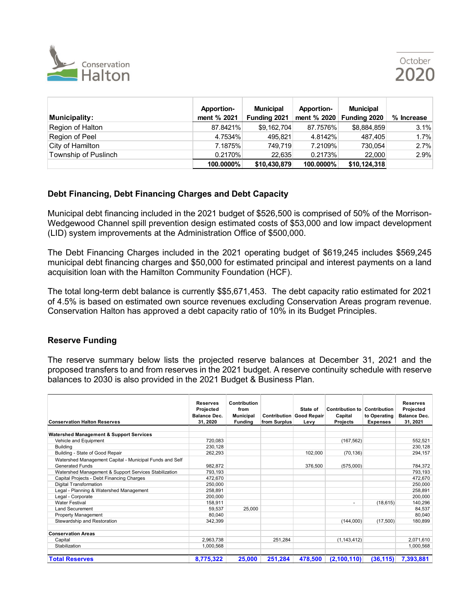



| <b>Municipality:</b> | Apportion-<br>ment % 2021 | <b>Municipal</b><br>Funding 2021 | Apportion- | <b>Municipal</b><br>ment % 2020   Funding 2020 | % Increase |
|----------------------|---------------------------|----------------------------------|------------|------------------------------------------------|------------|
| Region of Halton     | 87.8421%                  | \$9,162,704                      | 87.7576%   | \$8,884,859                                    | 3.1%       |
| Region of Peel       | 4.7534%                   | 495.821                          | 4.8142%    | 487.405                                        | 1.7%       |
| City of Hamilton     | 7.1875%                   | 749.719                          | 7.2109%    | 730.054                                        | 2.7%       |
| Township of Puslinch | 0.2170%                   | 22.635                           | 0.2173%    | 22,000                                         | 2.9%       |
|                      | 100.0000%                 | \$10,430,879                     | 100.0000%  | \$10,124,318                                   |            |

#### **Debt Financing, Debt Financing Charges and Debt Capacity**

Municipal debt financing included in the 2021 budget of \$526,500 is comprised of 50% of the Morrison-Wedgewood Channel spill prevention design estimated costs of \$53,000 and low impact development (LID) system improvements at the Administration Office of \$500,000.

The Debt Financing Charges included in the 2021 operating budget of \$619,245 includes \$569,245 municipal debt financing charges and \$50,000 for estimated principal and interest payments on a land acquisition loan with the Hamilton Community Foundation (HCF).

The total long-term debt balance is currently \$\$5,671,453. The debt capacity ratio estimated for 2021 of 4.5% is based on estimated own source revenues excluding Conservation Areas program revenue. Conservation Halton has approved a debt capacity ratio of 10% in its Budget Principles.

#### **Reserve Funding**

The reserve summary below lists the projected reserve balances at December 31, 2021 and the proposed transfers to and from reserves in the 2021 budget. A reserve continuity schedule with reserve balances to 2030 is also provided in the 2021 Budget & Business Plan.

| <b>Conservation Halton Reserves</b>                                               | <b>Reserves</b><br>Projected<br><b>Balance Dec.</b><br>31, 2020 | Contribution<br>from<br><b>Municipal</b><br><b>Funding</b> | from Surplus | State of<br><b>Contribution Good Repair</b><br>Levy | Contribution to Contribution<br>Capital<br>Projects | to Operating<br><b>Expenses</b> | <b>Reserves</b><br>Projected<br><b>Balance Dec.</b><br>31, 2021 |
|-----------------------------------------------------------------------------------|-----------------------------------------------------------------|------------------------------------------------------------|--------------|-----------------------------------------------------|-----------------------------------------------------|---------------------------------|-----------------------------------------------------------------|
| <b>Watershed Management &amp; Support Services</b>                                |                                                                 |                                                            |              |                                                     |                                                     |                                 |                                                                 |
| Vehicle and Equipment                                                             | 720.083                                                         |                                                            |              |                                                     | (167, 562)                                          |                                 | 552,521                                                         |
| <b>Building</b>                                                                   | 230,128                                                         |                                                            |              |                                                     |                                                     |                                 | 230,128                                                         |
| Building - State of Good Repair                                                   | 262,293                                                         |                                                            |              | 102.000                                             | (70, 136)                                           |                                 | 294,157                                                         |
| Watershed Management Capital - Municipal Funds and Self<br><b>Generated Funds</b> | 982.872                                                         |                                                            |              | 376,500                                             | (575,000)                                           |                                 | 784.372                                                         |
| Watershed Management & Support Services Stabilization                             | 793.193                                                         |                                                            |              |                                                     |                                                     |                                 | 793,193                                                         |
| Capital Projects - Debt Financing Charges                                         | 472.670                                                         |                                                            |              |                                                     |                                                     |                                 | 472.670                                                         |
| Digital Transformation                                                            | 250.000                                                         |                                                            |              |                                                     |                                                     |                                 | 250,000                                                         |
| Legal - Planning & Watershed Management                                           | 258,891                                                         |                                                            |              |                                                     |                                                     |                                 | 258,891                                                         |
| Legal - Corporate                                                                 | 200,000                                                         |                                                            |              |                                                     |                                                     |                                 | 200,000                                                         |
| <b>Water Festival</b>                                                             | 158,911                                                         |                                                            |              |                                                     | $\overline{a}$                                      | (18, 615)                       | 140,296                                                         |
| <b>Land Securement</b>                                                            | 59.537                                                          | 25,000                                                     |              |                                                     |                                                     |                                 | 84.537                                                          |
| <b>Property Management</b>                                                        | 80.040                                                          |                                                            |              |                                                     |                                                     |                                 | 80,040                                                          |
| Stewardship and Restoration                                                       | 342,399                                                         |                                                            |              |                                                     | (144,000)                                           | (17,500)                        | 180,899                                                         |
| <b>Conservation Areas</b>                                                         |                                                                 |                                                            |              |                                                     |                                                     |                                 |                                                                 |
| Capital                                                                           | 2,963,738                                                       |                                                            | 251,284      |                                                     | (1, 143, 412)                                       |                                 | 2,071,610                                                       |
| Stabilization                                                                     | 1,000,568                                                       |                                                            |              |                                                     |                                                     |                                 | 1,000,568                                                       |
| <b>Total Reserves</b>                                                             | 8,775,322                                                       | 25,000                                                     | 251,284      | 478,500                                             | (2,100,110)                                         | (36, 115)                       | 7,393,881                                                       |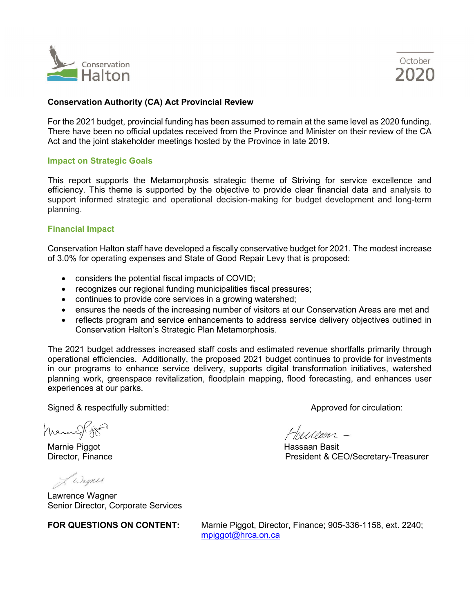



#### **Conservation Authority (CA) Act Provincial Review**

For the 2021 budget, provincial funding has been assumed to remain at the same level as 2020 funding. There have been no official updates received from the Province and Minister on their review of the CA Act and the joint stakeholder meetings hosted by the Province in late 2019.

#### **Impact on Strategic Goals**

This report supports the Metamorphosis strategic theme of Striving for service excellence and efficiency. This theme is supported by the objective to provide clear financial data and analysis to support informed strategic and operational decision-making for budget development and long-term planning.

#### **Financial Impact**

Conservation Halton staff have developed a fiscally conservative budget for 2021. The modest increase of 3.0% for operating expenses and State of Good Repair Levy that is proposed:

- considers the potential fiscal impacts of COVID;
- recognizes our regional funding municipalities fiscal pressures;
- continues to provide core services in a growing watershed;
- ensures the needs of the increasing number of visitors at our Conservation Areas are met and
- reflects program and service enhancements to address service delivery objectives outlined in Conservation Halton's Strategic Plan Metamorphosis.

The 2021 budget addresses increased staff costs and estimated revenue shortfalls primarily through operational efficiencies. Additionally, the proposed 2021 budget continues to provide for investments in our programs to enhance service delivery, supports digital transformation initiatives, watershed planning work, greenspace revitalization, floodplain mapping, flood forecasting, and enhances user experiences at our parks.

Signed & respectfully submitted:  $\blacksquare$  Approved for circulation:

Mariegas

Marnie Piggot Hassaan Basit

LWagner

Lawrence Wagner Senior Director, Corporate Services

**FOR QUESTIONS ON CONTENT:** Marnie Piggot, Director, Finance; 905-336-1158, ext. 2240; [mpiggot@hrca.on.ca](mailto:mpiggot@hrca.on.ca)

Housevern -

President & CEO/Secretary-Treasurer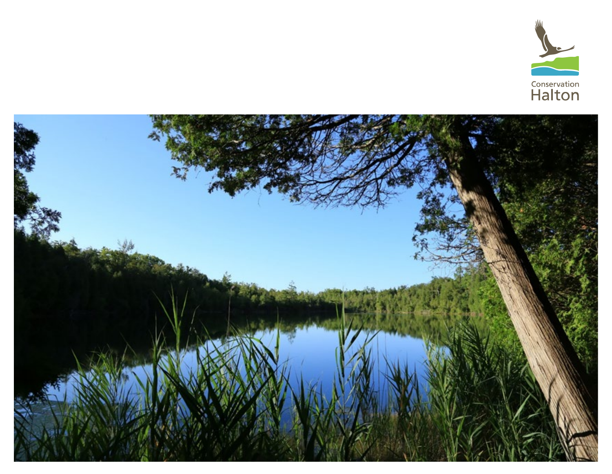# **CONSERVATIONHALTON** 2021 BUDGET& BUSINESSPLAN



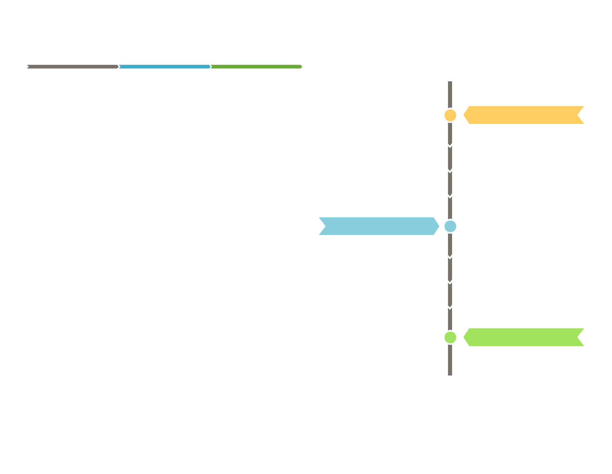# **FOREWARD**

# Submitted by:

**HassaanBasit** President & CEO

#### Prepared by :

LawrenceWagner, Senior Director, Corporate Services

Marnie Piggot, CPA,CA Director, Finance

MelissaSilber,,CPA,CGA Manager, Accounting

Kimberly O'Malley, CPA,CGA Accounting Analyst

#### In Collaboration with :

Senior Leadership Teamand Departmental Stafffrom:

- Corporate Services
- Corporate Compliance
- Flood Forecasting& Operations
- Planning& WatershedManagement
- Science& Partnerships
- Project Management Office
- Operations
- Parks& Recreation

# 2021 Budget Preparation Timeline



- Preparation of 2021 Budget & 2022 – 2030 Operating and Capital forecast
- Approval of preliminary budget by Financial and Audit Committee and Board of Directors

#### June – October

- Budget revisions
- Preparation of 2022– 2030 Operating & Capital Forecast and approval by Finance & Audit Committee
- Budget meetings with municipal funding partners
- Notice of budget approval sent to Conservation Halton watershed municipalities

# October – February

- Presentation of final budget to Finance & Audit Committee and to Board of Directors
- Presentation of final budget to municipalities